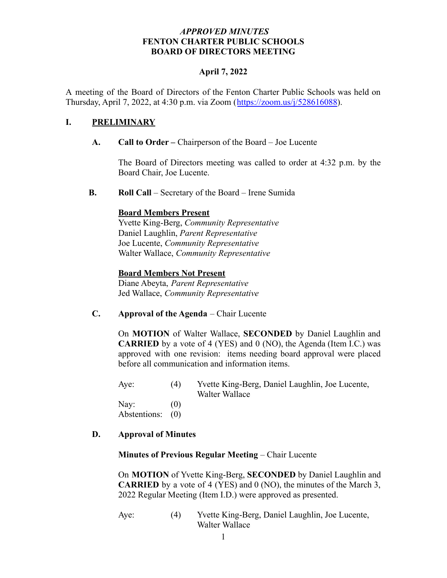### *APPROVED MINUTES* **FENTON CHARTER PUBLIC SCHOOLS BOARD OF DIRECTORS MEETING**

### **April 7, 2022**

A meeting of the Board of Directors of the Fenton Charter Public Schools was held on Thursday, April 7, 2022, at 4:30 p.m. via Zoom (<https://zoom.us/j/528616088>).

### **I. PRELIMINARY**

### **A. Call to Order –** Chairperson of the Board – Joe Lucente

The Board of Directors meeting was called to order at 4:32 p.m. by the Board Chair, Joe Lucente.

**B. Roll Call** – Secretary of the Board – Irene Sumida

### **Board Members Present**

Yvette King-Berg, *Community Representative* Daniel Laughlin, *Parent Representative* Joe Lucente, *Community Representative* Walter Wallace, *Community Representative*

### **Board Members Not Present**

Diane Abeyta, *Parent Representative* Jed Wallace, *Community Representative*

**C. Approval of the Agenda** – Chair Lucente

On **MOTION** of Walter Wallace, **SECONDED** by Daniel Laughlin and **CARRIED** by a vote of 4 (YES) and 0 (NO), the Agenda (Item I.C.) was approved with one revision: items needing board approval were placed before all communication and information items.

Aye: (4) Yvette King-Berg, Daniel Laughlin, Joe Lucente, Walter Wallace

Nay:  $(0)$ Abstentions: (0)

### **D. Approval of Minutes**

### **Minutes of Previous Regular Meeting** – Chair Lucente

On **MOTION** of Yvette King-Berg, **SECONDED** by Daniel Laughlin and **CARRIED** by a vote of 4 (YES) and 0 (NO), the minutes of the March 3, 2022 Regular Meeting (Item I.D.) were approved as presented.

Aye: (4) Yvette King-Berg, Daniel Laughlin, Joe Lucente, Walter Wallace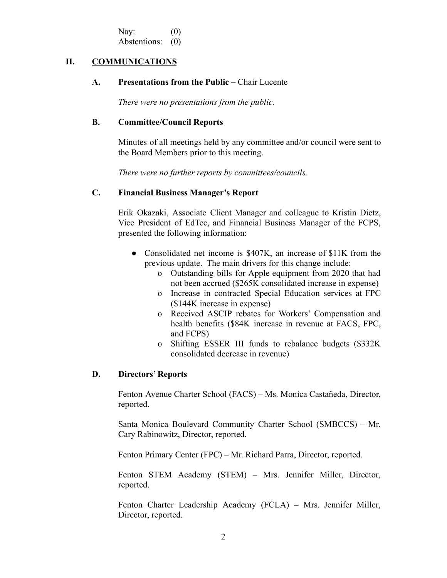Nay:  $(0)$ Abstentions: (0)

### **II. COMMUNICATIONS**

#### **A. Presentations from the Public** – Chair Lucente

*There were no presentations from the public.*

### **B. Committee/Council Reports**

Minutes of all meetings held by any committee and/or council were sent to the Board Members prior to this meeting.

*There were no further reports by committees/councils.*

### **C. Financial Business Manager's Report**

Erik Okazaki, Associate Client Manager and colleague to Kristin Dietz, Vice President of EdTec, and Financial Business Manager of the FCPS, presented the following information:

- Consolidated net income is \$407K, an increase of \$11K from the previous update. The main drivers for this change include:
	- o Outstanding bills for Apple equipment from 2020 that had not been accrued (\$265K consolidated increase in expense)
	- o Increase in contracted Special Education services at FPC (\$144K increase in expense)
	- o Received ASCIP rebates for Workers' Compensation and health benefits (\$84K increase in revenue at FACS, FPC, and FCPS)
	- o Shifting ESSER III funds to rebalance budgets (\$332K consolidated decrease in revenue)

### **D. Directors' Reports**

Fenton Avenue Charter School (FACS) – Ms. Monica Castañeda, Director, reported.

Santa Monica Boulevard Community Charter School (SMBCCS) – Mr. Cary Rabinowitz, Director, reported.

Fenton Primary Center (FPC) – Mr. Richard Parra, Director, reported.

Fenton STEM Academy (STEM) – Mrs. Jennifer Miller, Director, reported.

Fenton Charter Leadership Academy (FCLA) – Mrs. Jennifer Miller, Director, reported.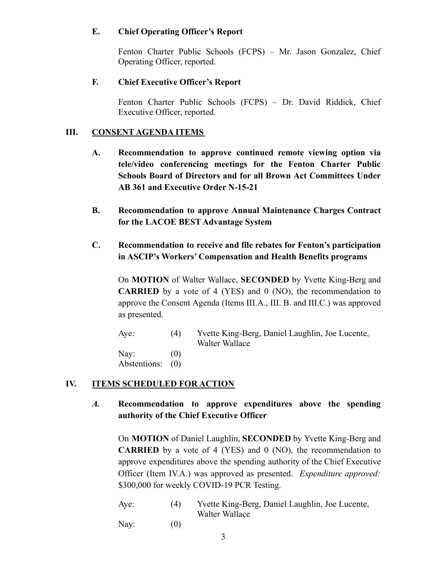### **E. Chief Operating Officer's Report**

Fenton Charter Public Schools (FCPS) – Mr. Jason Gonzalez, Chief Operating Officer, reported.

# **F. Chief Executive Officer's Report**

Fenton Charter Public Schools (FCPS) – Dr. David Riddick, Chief Executive Officer, reported.

# **III. CONSENT AGENDA ITEMS**

- **A. Recommendation to approve continued remote viewing option via tele/video conferencing meetings for the Fenton Charter Public Schools Board of Directors and for all Brown Act Committees Under AB 361 and Executive Order N-15-21**
- **B. Recommendation to approve Annual Maintenance Charges Contract for the LACOE BEST Advantage System**

# **C. Recommendation to receive and file rebates for Fenton's participation in ASCIP's Workers' Compensation and Health Benefits programs**

On **MOTION** of Walter Wallace, **SECONDED** by Yvette King-Berg and **CARRIED** by a vote of 4 (YES) and 0 (NO), the recommendation to approve the Consent Agenda (Items III.A., III. B. and III.C.) was approved as presented.

| Aye:                     | (4) | Yvette King-Berg, Daniel Laughlin, Joe Lucente,<br>Walter Wallace |
|--------------------------|-----|-------------------------------------------------------------------|
| Nay:<br>Abstentions: (0) | (0) |                                                                   |

# **IV. ITEMS SCHEDULED FOR ACTION**

*A.* **Recommendation to approve expenditures above the spending authority of the Chief Executive Officer**

On **MOTION** of Daniel Laughlin, **SECONDED** by Yvette King-Berg and **CARRIED** by a vote of 4 (YES) and 0 (NO), the recommendation to approve expenditures above the spending authority of the Chief Executive Officer (Item IV.A.) was approved as presented. *Expenditure approved:* \$300,000 for weekly COVID-19 PCR Testing.

Aye: (4) Yvette King-Berg, Daniel Laughlin, Joe Lucente, Walter Wallace

Nay:  $(0)$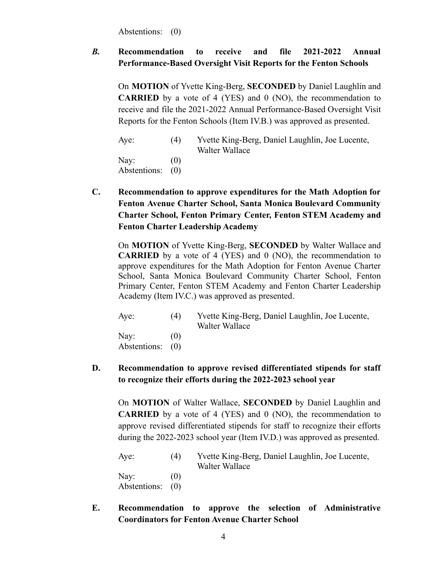Abstentions: (0)

# *B.* **Recommendation to receive and file 2021-2022 Annual Performance-Based Oversight Visit Reports for the Fenton Schools**

On **MOTION** of Yvette King-Berg, **SECONDED** by Daniel Laughlin and **CARRIED** by a vote of 4 (YES) and 0 (NO), the recommendation to receive and file the 2021-2022 Annual Performance-Based Oversight Visit Reports for the Fenton Schools (Item IV.B.) was approved as presented.

| Aye:                     | (4) | Yvette King-Berg, Daniel Laughlin, Joe Lucente,<br>Walter Wallace |
|--------------------------|-----|-------------------------------------------------------------------|
| Nay:<br>Abstentions: (0) | (0) |                                                                   |

**C. Recommendation to approve expenditures for the Math Adoption for Fenton Avenue Charter School, Santa Monica Boulevard Community Charter School, Fenton Primary Center, Fenton STEM Academy and Fenton Charter Leadership Academy**

On **MOTION** of Yvette King-Berg, **SECONDED** by Walter Wallace and **CARRIED** by a vote of 4 (YES) and 0 (NO), the recommendation to approve expenditures for the Math Adoption for Fenton Avenue Charter School, Santa Monica Boulevard Community Charter School, Fenton Primary Center, Fenton STEM Academy and Fenton Charter Leadership Academy (Item IV.C.) was approved as presented.

| Aye:          | (4) | Yvette King-Berg, Daniel Laughlin, Joe Lucente, |
|---------------|-----|-------------------------------------------------|
|               |     | Walter Wallace                                  |
| $\text{Nay:}$ | (0) |                                                 |
| Abstentions:  | (0) |                                                 |

# **D. Recommendation to approve revised differentiated stipends for staff to recognize their efforts during the 2022-2023 school year**

On **MOTION** of Walter Wallace, **SECONDED** by Daniel Laughlin and **CARRIED** by a vote of 4 (YES) and 0 (NO), the recommendation to approve revised differentiated stipends for staff to recognize their efforts during the 2022-2023 school year (Item IV.D.) was approved as presented.

| Aye:                 | (4)                      | Yvette King-Berg, Daniel Laughlin, Joe Lucente,<br>Walter Wallace |
|----------------------|--------------------------|-------------------------------------------------------------------|
| Nay:<br>Abstentions: | $\left( 0\right)$<br>(0) |                                                                   |

**E. Recommendation to approve the selection of Administrative Coordinators for Fenton Avenue Charter School**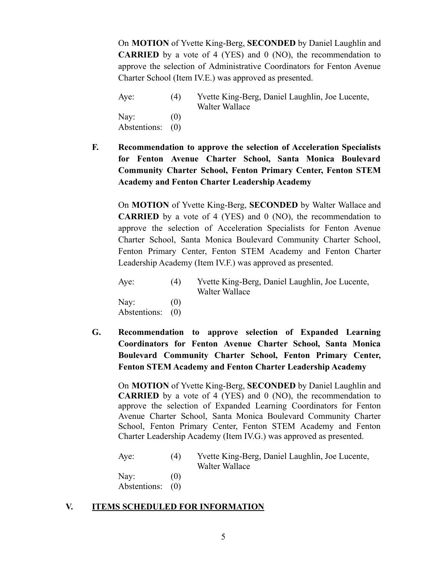On **MOTION** of Yvette King-Berg, **SECONDED** by Daniel Laughlin and **CARRIED** by a vote of 4 (YES) and 0 (NO), the recommendation to approve the selection of Administrative Coordinators for Fenton Avenue Charter School (Item IV.E.) was approved as presented.

Aye: (4) Yvette King-Berg, Daniel Laughlin, Joe Lucente, Walter Wallace Nay:  $(0)$ Abstentions: (0)

**F. Recommendation to approve the selection of Acceleration Specialists for Fenton Avenue Charter School, Santa Monica Boulevard Community Charter School, Fenton Primary Center, Fenton STEM Academy and Fenton Charter Leadership Academy**

On **MOTION** of Yvette King-Berg, **SECONDED** by Walter Wallace and **CARRIED** by a vote of 4 (YES) and 0 (NO), the recommendation to approve the selection of Acceleration Specialists for Fenton Avenue Charter School, Santa Monica Boulevard Community Charter School, Fenton Primary Center, Fenton STEM Academy and Fenton Charter Leadership Academy (Item IV.F.) was approved as presented.

Aye: (4) Yvette King-Berg, Daniel Laughlin, Joe Lucente, Walter Wallace Nav:  $(0)$ 

Abstentions: (0)

**G. Recommendation to approve selection of Expanded Learning Coordinators for Fenton Avenue Charter School, Santa Monica Boulevard Community Charter School, Fenton Primary Center, Fenton STEM Academy and Fenton Charter Leadership Academy**

On **MOTION** of Yvette King-Berg, **SECONDED** by Daniel Laughlin and **CARRIED** by a vote of 4 (YES) and 0 (NO), the recommendation to approve the selection of Expanded Learning Coordinators for Fenton Avenue Charter School, Santa Monica Boulevard Community Charter School, Fenton Primary Center, Fenton STEM Academy and Fenton Charter Leadership Academy (Item IV.G.) was approved as presented.

Aye: (4) Yvette King-Berg, Daniel Laughlin, Joe Lucente, Walter Wallace

Nay:  $(0)$ Abstentions: (0)

### **V. ITEMS SCHEDULED FOR INFORMATION**